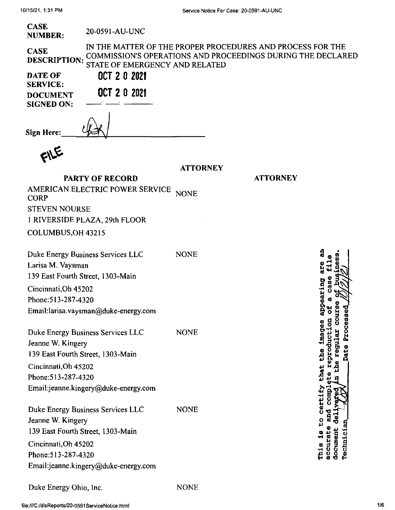| <b>CASE</b><br><b>NUMBER:</b><br><b>CASE</b><br><b>DESCRIPTION:</b><br><b>DATE OF</b><br><b>SERVICE:</b><br><b>DOCUMENT</b><br><b>SIGNED ON:</b><br>Sign Here: | 20-0591-AU-UNC<br>IN THE MATTER OF THE PROPER PROCEDURES AND PROCESS FOR THE<br>COMMISSION'S OPERATIONS AND PROCEEDINGS DURING THE DECLARED<br>STATE OF EMERGENCY AND RELATED<br>OCT 2 0 2021<br><b>OCT 2 0 2021</b> |                 |                 |                                                                                                       |
|----------------------------------------------------------------------------------------------------------------------------------------------------------------|----------------------------------------------------------------------------------------------------------------------------------------------------------------------------------------------------------------------|-----------------|-----------------|-------------------------------------------------------------------------------------------------------|
|                                                                                                                                                                |                                                                                                                                                                                                                      |                 |                 |                                                                                                       |
|                                                                                                                                                                |                                                                                                                                                                                                                      |                 |                 |                                                                                                       |
|                                                                                                                                                                | <b>PARTY OF RECORD</b>                                                                                                                                                                                               | <b>ATTORNEY</b> | <b>ATTORNEY</b> |                                                                                                       |
| <b>CORP</b><br><b>STEVEN NOURSE</b>                                                                                                                            | AMERICAN ELECTRIC POWER SERVICE<br>1 RIVERSIDE PLAZA, 29th FLOOR                                                                                                                                                     | <b>NONE</b>     |                 |                                                                                                       |
| COLUMBUS, OH 43215                                                                                                                                             |                                                                                                                                                                                                                      |                 |                 |                                                                                                       |
| Duke Energy Business Services LLC<br>Larisa M. Vaysman<br>139 East Fourth Street, 1303-Main<br>Cincinnati, Oh 45202<br>Phone: 513-287-4320                     | Email:larisa.vaysman@duke-energy.com                                                                                                                                                                                 | <b>NONE</b>     |                 | Ω<br>q,<br>ō<br>COUL                                                                                  |
| Duke Energy Business Services LLC<br>Jeanne W. Kingery<br>139 East Fourth Street, 1303-Main<br>Cincinnati, Oh 45202<br>Phone: 513-287-4320                     | Email:jeanne.kingery@duke-energy.com                                                                                                                                                                                 | <b>NONE</b>     |                 | Processe<br>eproduction<br>images<br>regular<br>Date<br>the<br>ω<br>that<br>н<br>Ē<br>Φ<br>ىد<br>com1 |
| Duke Energy Business Services LLC<br>Jeanne W. Kingery<br>139 East Fourth Street, 1303-Main<br>Cincinnati, Oh 45202<br>Phone: 513-287-4320                     | Email:jeanne.kingery@duke-energy.com                                                                                                                                                                                 | <b>NONE</b>     |                 | certify<br><b>bue</b><br>ಕ್ಷಿ<br>٥<br>د<br><b>Pechnici</b><br>document<br>accurat<br>٩<br>This        |

Duke Energy Ohio, Inc. NONE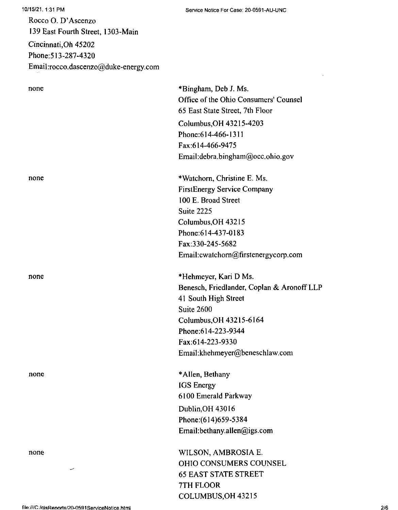10/15/21, 1:31 PM Rocco O. D'Ascenzo 139 East Fourth Street, 1303-Main Cincinnati,Oh 45202

 $\ddot{\phantom{0}}$ 

Phone:513-287-4320 Email:rocco.dascenzo@duke-energy.com

| none | *Bingham, Deb J. Ms.                       |
|------|--------------------------------------------|
|      | Office of the Ohio Consumers' Counsel      |
|      | 65 East State Street, 7th Floor            |
|      | Columbus, OH 43215-4203                    |
|      | Phone: 614-466-1311                        |
|      | Fax:614-466-9475                           |
|      | Email:debra.bingham@occ.ohio.gov           |
| none | *Watchorn, Christine E. Ms.                |
|      | <b>FirstEnergy Service Company</b>         |
|      | 100 E. Broad Street                        |
|      | Suite 2225                                 |
|      | Columbus, OH 43215                         |
|      | Phone: 614-437-0183                        |
|      | Fax:330-245-5682                           |
|      | Email: cwatchorn@firstenergycorp.com       |
| none | *Hehmeyer, Kari D Ms.                      |
|      | Benesch, Friedlander, Coplan & Aronoff LLP |
|      | 41 South High Street                       |
|      | Suite 2600                                 |
|      | Columbus, OH 43215-6164                    |
|      | Phone: 614-223-9344                        |
|      | Fax:614-223-9330                           |
|      | Email:khehmeyer@beneschlaw.com             |
| none | *Allen, Bethany                            |
|      | <b>IGS</b> Energy                          |
|      | 6100 Emerald Parkway                       |
|      | Dublin, OH 43016                           |
|      | Phone: (614) 659-5384                      |
|      | Email:bethany.allen@igs.com                |
| none | WILSON, AMBROSIA E.                        |
|      | OHIO CONSUMERS COUNSEL                     |
|      | <b>65 EAST STATE STREET</b>                |
|      | 7TH FLOOR                                  |
|      | COLUMBUS, OH 43215                         |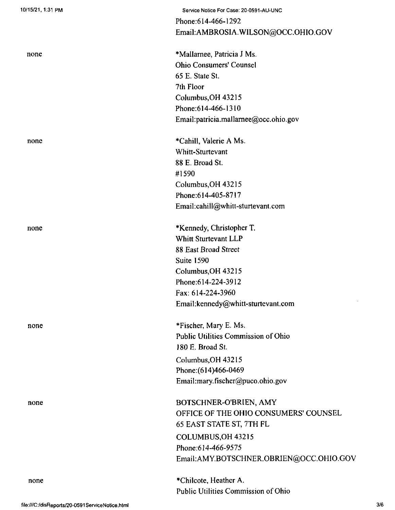| none |  |  |
|------|--|--|
| none |  |  |
| none |  |  |
| none |  |  |

none

Phone:614-466-1292 Email:AMBROSIA.WILSON@OCC.OHIO.GOV

•^Mallamee, Patricia J Ms. Ohio Consumers' Counsel 65 E. State St. 7th Floor Columbus,OH 43215 Phone:614-466-1310 Email:patricia.mallamee@occ.ohio.gov

♦Cahill, Valerie A Ms. Whitt-Sturtevant 88 E. Broad St. #1590 Columbus,OH 43215 Phone:614-405-8717 Email:cahill@whitt-sturtevant.com

♦Kennedy, Christopher T. Whitt Sturtevant LLP 88 East Broad Street Suite 1590 Columbus,OH 43215 Phone:614-224-3912 Fax: 614-224-3960 Email:kennedy@whitt-sturtevant.com

\*Fischer, Mary E. Ms. Public Utilities Commission of Ohio 180 E. Broad St.

Columbus,OH 43215 Phone:(614)466-0469 Email:mary.fischer@puco.ohio.gov

BOTSCHNER-O'BRIEN, AMY OFFICE OF THE OHIO CONSUMERS' COUNSEL 65 EAST STATE ST, 7TH FL COLUMBUS,OH 43215 Phone;614-466-9575 Email:AMYBOTSCHNER.OBRIEN@OCC.OHIO.GOV

none

\*ChiIcote, Heather A. Public Utilities Commission of Ohio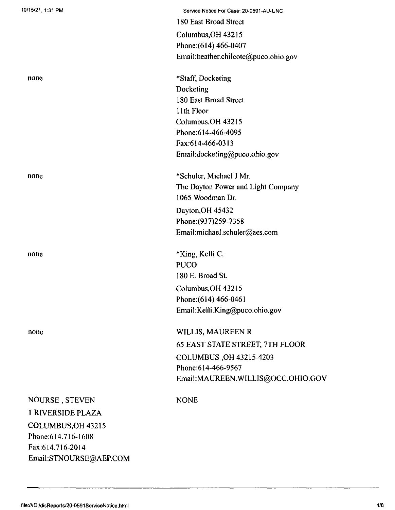| 10/15/21 1:31 PM       | Service Notice For Case: 20-0591-AU-UNC |
|------------------------|-----------------------------------------|
|                        | 180 East Broad Street                   |
|                        | Columbus, OH 43215                      |
|                        | Phone: (614) 466-0407                   |
|                        | Email:heather.chilcote@puco.ohio.gov    |
| none                   | *Staff, Docketing                       |
|                        | Docketing                               |
|                        | 180 East Broad Street                   |
|                        | 11th Floor                              |
|                        | Columbus, OH 43215                      |
|                        | Phone: 614-466-4095                     |
|                        | Fax:614-466-0313                        |
|                        | Email:docketing@puco.ohio.gov           |
| none                   | *Schuler, Michael J Mr.                 |
|                        | The Dayton Power and Light Company      |
|                        | 1065 Woodman Dr.                        |
|                        | Dayton, OH 45432                        |
|                        | Phone: (937) 259-7358                   |
|                        | Email:michael.schuler@aes.com           |
| none                   | *King, Kelli C.                         |
|                        | <b>PUCO</b>                             |
|                        | 180 E. Broad St.                        |
|                        | Columbus, OH 43215                      |
|                        | Phone: (614) 466-0461                   |
|                        | Email:Kelli.King@puco.ohio.gov          |
| none                   | WILLIS, MAUREEN R                       |
|                        | 65 EAST STATE STREET, 7TH FLOOR         |
|                        | COLUMBUS, OH 43215-4203                 |
|                        | Phone: 614-466-9567                     |
|                        | Email:MAUREEN.WILLIS@OCC.OHIO.GOV       |
| NOURSE, STEVEN         | <b>NONE</b>                             |
| 1 RIVERSIDE PLAZA      |                                         |
| COLUMBUS, OH 43215     |                                         |
| Phone: 614.716-1608    |                                         |
| Fax:614.716-2014       |                                         |
| Email:STNOURSE@AEP.COM |                                         |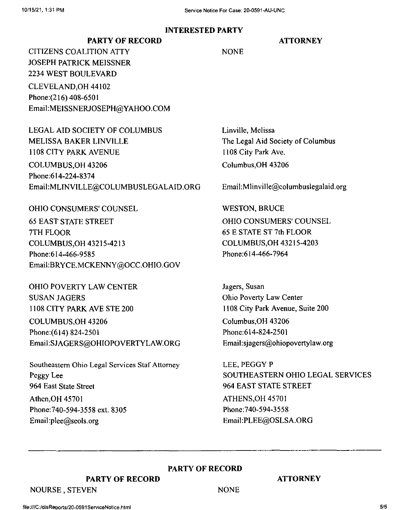## **INTERESTED PARTY**

## **ATTORNEY**

## NONE

CLEVELAND,OH 44102 Phone:(216) 408-6501 Email:MElSSNERJOSEPH@YAHOO.COM **PARTY OF RECORD** CITIZENS COALITION ATTY JOSEPH PATRICK MEISSNER 2234 WEST BOULEVARD

LEGAL AID SOCIETY OF COLUMBUS MELISSA BAKER LINVILLE 1108 CITY PARK AVENUE COLUMBUS,OH 43206 Phone;614-224-8374 Email:MLTNVILLE@COLUMBUSLEGALAID.ORG

OHIO CONSUMERS' COUNSEL WESTON, BRUCE

65 EAST STATE STREET 7TH FLOOR COLUMBUS,OH 43215-4213 Phone:614-466-9585 Email:BRYCE.MCKENNY@OCC.OHIO.GOV

OHIO POVERTY LAW CENTER SUSAN JAGERS 1108 CITY PARK AVE STE 200 COLUMBUS,OH 43206 Phone:(614) 824-2501 Email:SJAGERS@OHIOPOVERTYLAW.ORG

Athen,OH 45701 Phone:740-594-3558 ext. 8305 Email:plee@seols.org Southeastern Ohio Legal Services Staf Attorney Peggy Lee 964 East State Street

Linville, Melissa The Legal Aid Society of Columbus 1108 City Park Ave. Columbus,OH 43206

Email:Mlinvi!le@columbuslegalaid.org

OHIO CONSUMERS' COUNSEL 65 E STATE ST 7th FLOOR COLUMBUS,OH 43215-4203 Phone:614-466-7964

Jagers, Susan Ohio Poverty Law Center 1108 City Park Avenue, Suite 200 Columbus,OH 43206 Phone;614-824-2501 Email:sjagers@ohiopovertylaw.org

ATHENS,OH 45701 Phone:740-594-3558 Email:PLEE@OSLSA.ORG LEE, PEGGY P SOUTHEASTERN OHIO LEGAL SERVICES 964 EAST STATE STREET

**PARTY OF RECORD**

**PARTY OF RECORD** NOURSE, STEVEN

**ATTORNEY**

NONE

file:///C:/disReDons/20-0591ServiceNotice.html 5/6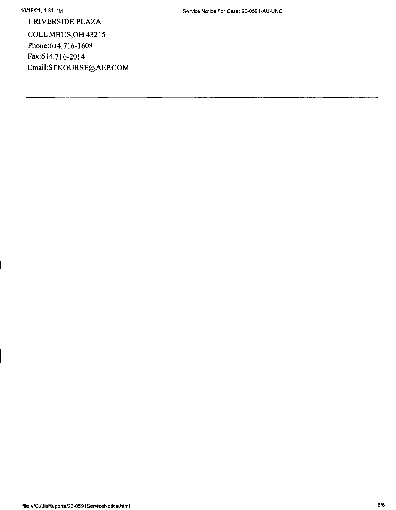COLUMBUS,OH 43215 Phone:614.716-1608 Fax:614.716-2014 Email:STNOURSE@AEP.COM <sup>1</sup> RIVERSIDE PLAZA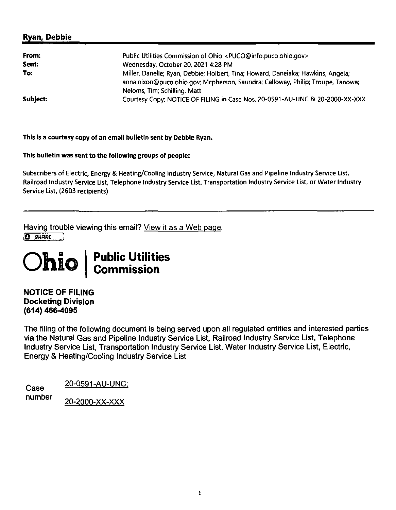## **Ryan, Debbie**

| From:<br>Sent: | Public Utilities Commission of Ohio <puco@info.puco.ohio.gov><br/>Wednesday, October 20, 2021 4:28 PM</puco@info.puco.ohio.gov>                                     |
|----------------|---------------------------------------------------------------------------------------------------------------------------------------------------------------------|
| To:            | Miller, Danelle; Ryan, Debbie; Holbert, Tina; Howard, Daneiaka; Hawkins, Angela;<br>anna.nixon@puco.ohio.gov; Mcpherson, Saundra; Calloway, Philip; Troupe, Tanowa; |
| Subject:       | Neloms, Tim; Schilling, Matt<br>Courtesy Copy: NOTICE OF FILING in Case Nos. 20-0591-AU-UNC & 20-2000-XX-XXX                                                        |

**This is a courtesy copy of an email bulletin sent by Debbie Ryan.**

**This bulletin was sent to the following groups of people:**

Subscribers of Electric, Energy & Heating/Cooling Industry Service, Natural Gas and Pipeline Industry Service List, Railroad Industry Service List, Telephone Industry Service List, Transportation Industry Service List, or Water Industry Service List, (2603 recipients)

**Having trouble viewing this email? View it as a Web page. [O SHARE, j**



**NOTICE OF FILING Docketing Division (614) 466-4095**

I Industry Service List, Transportation Industry Service List, Water Industry Service List, Electric The filing of the following document is being served upon all regulated entities and Interested parties via the Natural Gas and Pipeline Industry Service List, Railroad Industry Service List, Telephone Energy & Heating/Cooling Industry Service List

20-0591-AU-UNC; 20-2000-XX-XXX Case number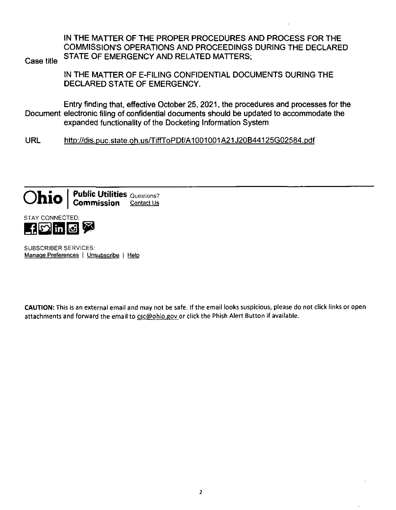IN THE MATTER OF THE PROPER PROCEDURES AND PROCESS FOR THE COMMISSION'S OPERATIONS AND PROCEEDINGS DURING THE DECLARED STATE OF EMERGENCY AND RELATED MATTERS;

Case title

IN THE MATTER OF E-FILING CONFIDENTIAL DOCUMENTS DURING THE DECLARED STATE OF EMERGENCY.

Entry finding that, effective October 25. 2021, the procedures and processes for the Document electronic filing of confidential documents should be updated to accommodate the expanded functionality of the Docketing Information System

**URL** http://dis.puc.state.oh.us/TiffToPDf/A1001001A21J20B44125G02584.pdf





SUBSCRIBER SERVICES: Manage Preferences <sup>|</sup> Unsubscribe <sup>|</sup> Help

CAUTION: This is an external email and may not be safe. If the email looks suspicious, please do not click links or open attachments and forward the email to csc@ohio.gov or click the Phish Alert Button if available.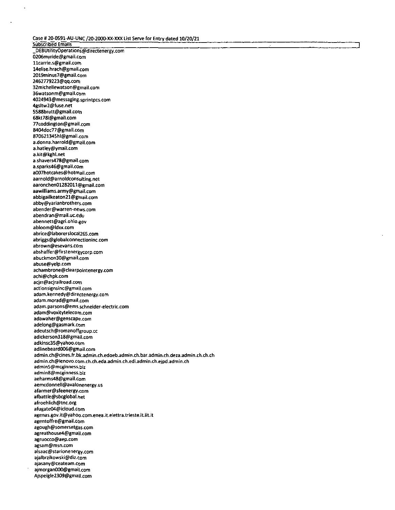**1**

Subscribed Emails \_DEBUtilityOperations@directenergy.com 0206myride@gmail.com llcarrie.s@gmail.corh 14elise.hrach@gmaii.com 2019minus7@gmail.com 2462779223@qq.com 32m (chellewat5on@gmail.com 36watsonm@gmail.com 4024943@messaging.sprintpcs.com 4gsltw2@fuse.net 5588brutt@gmail.corn 68kt78i@gmail.com 77coddington@gmail.com 84O4doc77@gmaii.com 870621345hl@gmaii.com a.donna.harrold@gmail.com a.hatley@ymail.com a.kit@kghl.net a.shavers478@gmail.com a.sparks46@gmail.eom a007hotcakes@hotmaii.com aarnoid@arnoldconsulting.net aaronchen01282011@gmail.com aawiiiiams.army@gmail.com abbigaiikeaton21@gmail.com abby@yarianbrothers.com abender@warren-news.com abendran@mail.uc.edu abennett@agri.ohio.gov abioom@ldxx.com abrice@laborerslocal265.com abriggs@globalconnectioninc.com abrown@esevans.com abshaffer@firstenergycorp.com abuckmon30@gmail.com abuse@yelp.com achambrone@clearpointenergy.com achi@chpk.com acjrr@acjrailroad.com actionsignsinc@gmail.com adam.kennedy@directenergy.com adam.morad@gmail.com adam.parsons@ems.schneider-electric.com adam@voxitytelecom.com adawaher@genscape.com adelong@gasmark.com adeutsch@romanoffgroup.ee adickerson318@gmail.com adkinsc35@yahoo.com adiinebeard006@gmail.com admin.ch@cine5.fr.bk.admin.ch.edoeb.admin.ch.bar.admin.ch.deza.admin.ch.ch.ch admin.ch@lenovo.com.ch.ch.eda.admin.ch.edi.admin.ch,ejpd.admin.ch admin5@mcginne5s,biz admin8@mcginne5S.biz aeharms48@gmail.eom aemcdonnell@avalonenergy.us afarmer@5feenergy.com afbattle@sbcg(obat.het afroehlich@tnc.org afugate04@icloud.com agenas.gov.it@yahoo.com.enea.it.eiettra.trie5te.it.iit.it agentoffre@gmail.com agough@somersetgas.com agreathou5e4@gmail.com agruocco@aep.com agsam@msn.com aisaac@starionenergy.com ajalbrzikowski@dlz.com ajasany@ceateam.com ajmorganOOO@gmail.com Ajspeigle2309@gmai(.com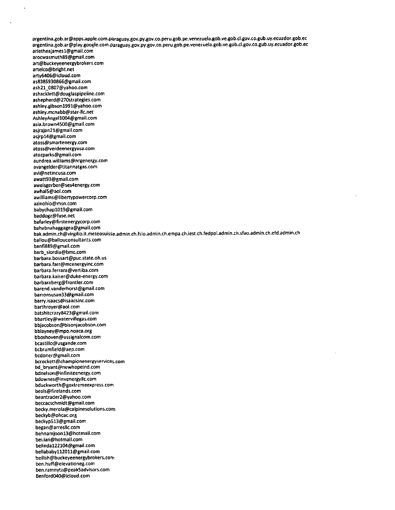argentina.gob.ar@apps.apple.com.paraguay.gov.py.gov.co.peru.gob.pe.venezuela.gob.ve.gob.cl.gov.co.gub,uy.ecuador.gob.ee argentina.gob.ar@plaY-google.com.paraguay.gov,pY.gov.co.peru.gob.pe.venezuela.gob.ve.gob.cl.gov.co.gub.UY-ecuador.gob.ee arletheaiamesl@gmail.com arocwa5muth69@gmail.com art@buckeyeenergybrokers.com artelco@bnght.net artY6406@icloud.com as8385930866@gmail.com ash21\_0807@yahoo.com ashacklett@douglaspipeline.com ashepherd@270strategies.com ashley.gib5onl991@yahoo.com ashleY.mcnabb@star-llc.net A5hleyAngell004@gmail.com asia.brown4500@gmail.com asjrajan21@gmail.com asjrpl4@gmail.com atoss@smartenergY.com atoss@verdeenergyusa.com atozparks@gmail.com aundrea.williams@nrgenergy.com avangelder@titannatgas.com avi@netincusa.com awatt93@gmail.com awei5gerber@ses4energy.com awhal5@aol.com awilliams@libertypowercorp.com azinohio@msn.com babychapl019@gmail.com baddogz@fuse.net bafarley@firstenergycorp.com bahabnahaggagea@gmail.com bak.admin.ch@virgilio.it.meteosuisse.admin.ch.fsio.admin.ch.empa.ch.iest.ch.fedpo1.admin.ch.sfao.admin.ch.efd.admin,ch baltou@baltouconsultants.com banfitl89@gmail.com barb\_siordia@bmc.com barbara.bossart@puc.state.oh.us barbara.farr@mcenergyinc.com barbara.ferrara@vertiba.com barbara.kaiser@duke-energy.com barbaraberg@frontler.com barend.vanderhorst@gmail.com barronsusan33@gmail.com barrY.isaacs@isaacsinc.com barthroyer@aol.com batshitcrazY6423@gmail.com bbartleY@watervillegas.com bbjacobson@bisonjacobson.com bblayney@mpo.noaca.org bboshoven@u55ignalcom.com bcastillo@usgande.com bcbrumfield@aep.com bcdoner@gmait.com bcrockett@championenergyservices.com bd\_brYant@newhopeind.com bdnelson@infiniteenergY.com bdownes@invenergyllc.com bduckworth@goxtremeexpress.com beals@firelands.com beantrader2@Yahoo.com beccacschmidt@gmait.com becky.merola@calpinesolutions.com beckYb@ohcac.org beckYp513@gmail.com began@arrestlc.com behnamjoonl3@hotmail.com bei.ian@hotmail.com belindal22104@gmail.com bellababY112011@gmail.com bellish@buckeyeenergybrokers.com ben.huff@elevationeg.com ben.ramnYtz@peak5advisors.com 6enford040@icloud.com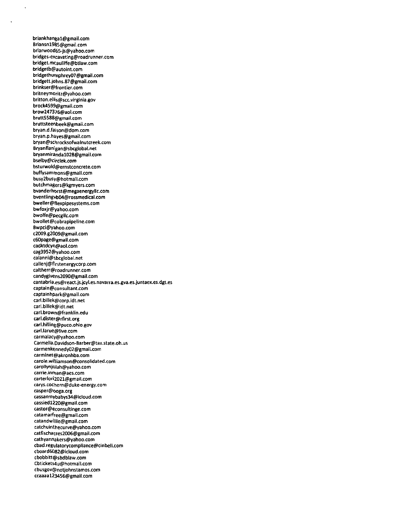briankhangal@gmail.com Briansnl985@gmail.com br1arwood65-js@yahoo.com bridges-excavating@roadrunner.com bridget.mcauliffe@btlaw.com bridgetb@autoint.com bridgethurnphrey07@gmail.com bridgett.johns.87@gmail.com brinkser@frontier.com britneymoritz@yahoo.com britton.ellis@scc.virgfnia.gov brock4599@gmail.com brow247376@aol.com brutt5588@gmail.com bruttsteenbeek@gmail.com bryan.d.fatson@dom.com bryan.p.hayes@gmail.com brvan@schrocksofwalnutcreek.com BrYanflanigan@sbcglobal.net brvanmirandalO28@gmail.com bselby@circlek.com bsturwold@ernstconcrete.com buffv5ammons@gmail.com busy2busv@hotmail.com butchmagers@kgmyers.com bvanderhorst@megaenergvllc.com bventlingvb04@rossmedical.com bweller@fiexpipesystems.com bwfoxjr@vahoo.com bwolfe@pecgllc.com bwollet@cobrapipetine.com Bwpci@vahoo.com c2009.g2Q09@gmail.com c60page@gmail.com cadktdcyn@aol.com cag3952@yahoo.com calanni@sbcglobal.net callenj@firstenergvcorp.com ca(therr@roadrunner.com candYgivens2090@gmail.com cantabria.es@react.js.jcyl.es.navarra.es.gva.es.juntaex.es.dgt.es captain@consultant.com captainhpark@gmail.com carl.billek@corp.idt.net cari.billek@idt.net carl.brown@franklin.edu carl.dister@rfirst.org carl.hitling@puco.ohio.gov carl.larue@live.com carmalacv@Yahoo.com Carmeila.Davidson-Barber@tax.state.oh.us carmenkennedv02@gmail.com carminet@akronhba.com caroie.wiliiamson@consolidated.com carollvnjolah@yahoo.com carrie.inrrian@aes.com carterlori2021@gmail.com carvs.cochern@duke-energv.com casper@ooga.org cassanmybabys34@icloud.com cassiedl220@gmail.com castor@econsultinge.com catamarfree@gmail.com catandwiilie@gmail.com catchuinthecurve@yahoo.com catfischacres2006@gmail.com cathyannakers@vahoo.com cbad.regulatorycompliance@cinbell.com cboard6082@icloud.com cbobbitt@sbdblaw.com Cbtickets4u@hotmail.com cbusgov@notjohnstamos.com ccaaaal23456@gmail.com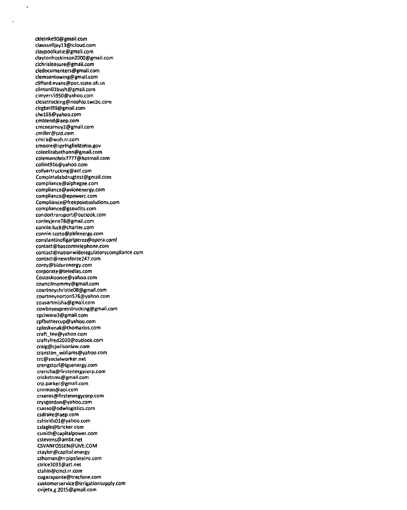ckleinke90@gmail.com clausselljay13@icloud.com claYpoolk3tie@gmail.com claYtonhoskinson2000@gmail.com clchrisleasure@gmail.com cledocumenters@gmaii.com clemsontowing@gmail.com clifford.evan5@puc.state.oh.us clinton01bush@gmail.com clmYers5950@Yahoo.com closetrucking@neohio.twcbc.com c(rgbel(99@gmai(.com clwl55@Yahoo.com cmblend@aep.com cmcnearneY2@gmail.com cmiller@szd.com cmira@woh.rr.com cmoore@springfieldohio.gov coleelizabethann@gmail.com colemanchris7777@hotmail.com cotlint916@Yahoo.com collYertrucking@aol.com Comptetelabdrugtest@gmail.com compliance@alphagne.com compliance@avionenergY.com compliance@epowerc.com Compliance@freepointsotutions.com compliance@gsaudits.com condortransport@outlook.com conleYjenn78@gmaii.com connie.luck@charter.com connie.szeto@pbfenergy.com constantinofigariperez@opera.coml contact@bascomtelephone.com contact@nationwideregulatorycompliance.com contact@newsforce247.com corev@bidurenergy.com corporate@teledias.com Costaskoonce@Yahoo.com councilmommy@gmail.com courtneychristie08@gmail.com courtneynorton576@yahoo.com cousartmi5ha@gmail.com cowboyexpresstrucking@gmail.com cpciware3@gmail.com cpfbuttercup@Yahoo.com cploskunak@thomarios.com craft\_tee@yahoo.com craftYfred2020@outlook.com craig@cjwilsonlaw.com cranston\_williams@yahoo.com crc@socialworker.net crengstorf@igsenergy.com crericha@firstenergycorp.com cricketcms@gmail.com crp.parker@gmatl.com crrrman@aol.com crxeros@rirstenergycorp.com crYSgordon@yahoo.com csasso@odwlogistics.com csdrake@aep.com cshietds01@Yahoo.com cs(ag(e@bricker.com csmith@capitalpower.com cstevens@ambt.net CSVANFOSSEN@LIVE.COM ctaylor@capital.energy cthoman@rrpipeiineinc.com ctricel033@att.net ctshin@cinci.rr.com cugazaponte@tracfone.com customerservice@irrigationsupplY.com cvijeta.g.2015@gmail.com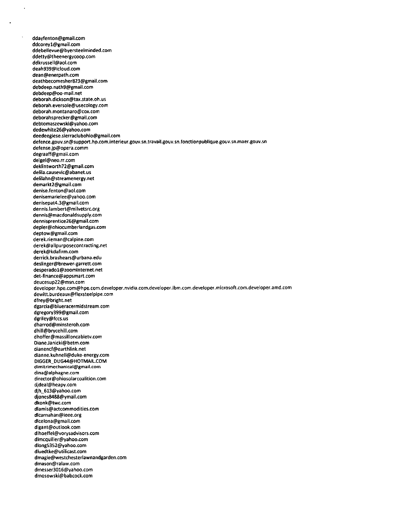ddavfenton@gmail.com ddcorevl@gmail.com ddebellevue@bversteelminded.com ddettv@theenergvcoop.com ddkrussell@aol.com deah939@icloud.com dean@enerpath.com deathbecomesher823@gmail.com debdeep.nath9@gmail.com debdeep@oo-m3il.net deborah.dickson@tax.state.oh.us deborah.eversole@usecologv.com deborah.montanaro@cox.com deborahsprecker@gmail.com debtomaszewski@vahoo.com dedewhite26@vahoo.com deedeegiese.sierraclubohio@gmail.com defence.gouv.sn@support.hp.com.interieur.gouv.sn.travail.gouv.sn.fonctionpublique.gouv.sn.maer.gouv.sn defense.jp@opera.comm degraaff@gmail.com deigel@neo.rr.com deklintworth72@gmail.com delila.cau5evic@abanet.us delilahn@streamenergv.net demarkt2@gmail.com denise.fenton@aol.com denisemarielee@vahoo.com denisepat4.3@gmail.com dennis.lambert@milvetsrc.org dennis@macdonaldsupptv.com dennisprentice26@gmail.com depler@ohiocumberlandgas.com deptow@gmail.com derek.rieman@calpine.com derek@ailpurposecontracting.net derek@kdafirm.com derrick.brashears@urbana.edu deslinger@brewer-garrett.com desperadol@zoominternet.net det-finance@appsmart.com deucesup22@msn.com deveioper.hpe.com@hpe.com.developer.nvidia.com.developer.ibm.com.developer.microsoft.com.deveioper.amd.com dewitt.burdeaux@flexsteeipipe.com dfrev@bright.net dgarcia@blueracermidstream.com dgregorv399@gmail.com dgrilev@fccs.us dharrod@minsteroh.com dhill@brvcehili.com dhoffer@massilioncabletv.com Diane.Janicki@betm.com dianencf@earthlink.net dianne.kuhnell@duke-energv.com DIGGER\_DUG44@HOTMAIL.COM dimitrimechanical@gm3il.com dina@alphagne.com director@ohiosolarcoalition.com djdeal@heapv.com djh\_613@vahoo.com djones8468@vmai1.com dkonk@twc.com dlamis@actcommodities.com dlcarnahan@ieee.org dlcelona@gmail.com digant@outiook.com dihoeffel@vorvsadvisors.com dlmcquilier@vahoo.com dlong5352@vahoo.com dluedtke@utilicast.com dmagie@we5tchesterlawnandgarden.com dmason@ralaw.com dmesser3016@vahoo.com dmosow5ki@babcock.com

 $\overline{\phantom{a}}$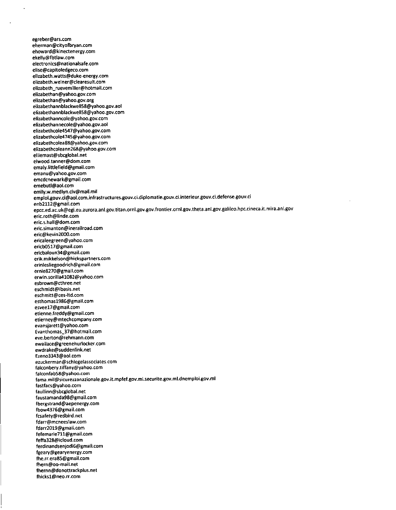egreber@ars.com eherman@cityofbryan.com ehoward@kinectenergy.com ekelly@fbtlaw.com electronics@nationalsafe.com elise@capitoledgeco.com elizabeth.watts@duke-energy.com eiizabeth.weiner@clearesuit.com elizabeth\_ruevemiller@hotmail.com elizabethan@yahoo.gov.com elizabethan@yahoo.gov.org elizabethannblackwell58@yahoo.gov.aol elizabethannblackwell58@yahoo.gov.com elizabethanncole@yahoo.gov.com elizabethannecole@yahoo.gov.aol elizabethcole4547@yahoo.gov.com elizabethcole4745@yahoo.gov.com elizabethcolea88@yahoo.gov.com elizabethcoleann268@yahoo.gov.com elliemast@sbcglobal.net elwood.tanner@dom.com emaly.littlefield@gmail.com emanu@yahoo.gov.com emcdcnewark@gmaii.com emebutl@aol.com emily.w.medlyn.civ@mail.mil emp1oi.gouv.ci@aol.com.infra5tructures.gouv.ci.diplomatie.gouv.ci.interieur.gouv.ci.defense.gouv.ci enb2112@gmail.com epcc.ed.ac.uk@egi.eu.aurora.anl.gov.titan.ornl.gov.gov.frontier.ornl.gov.theta.anl.gov.galileo.hpc.cineca.it.mira.anl.gov eric.roth@linde.com eric.5.hall@dom.com eric.simanton@inerailroad.com eric@kevin2000.com ericaleegreen@yahoo.com ericb0517@gmail.com ericbaloun34@gmail.com erik.mikkelson@hickspartners.com erinlesliegoodrich@gmail.com ernie8270@gmail.com erwin.sorilla41082@vahoo.com esbrown@cthree.net eschmidt@ibasis.net eschmitt@ces-ltd.com esthomasl986@gmail.com esveel7@gmail.com etienne.freddy@gmail.com etiernev@mtechcompany.com evansjarett@yahoo.com Evanthomas\_37@hotmail.com eve.berton@rehmann.com ewallace@greenehurlocker.com ewdrake@suddenlink.net Ezeno3343@aol.com ezuckerman@schlegela5sociates.com falconbery.tiffany@vahoo.com falconfab58@y3hoo.com f3ma.mil@sicurezzanazlonale.gov.it.mpfef.gov.ml.securite.gov.ml.dnemploi.gov.ml fastfacs@yahoo.com fau1linn@sbcglobal.net faustamanda98@gmail.com fbergstrand@aepenergv.com fbow4376@gmail.com fcsafetY@redbird.net fdarr@mcnees1aw.com fdarr2019@gmail.com fefemarie711@gmail.com feffa328@icloud.com ferdinandsenjodi6@gmail.com fgearv@gearvenergY.com fhe.rr.era85@gmail.com fhern@oo-mail.net fhernn@donottrackplus.net fhicksl@neo.rr.com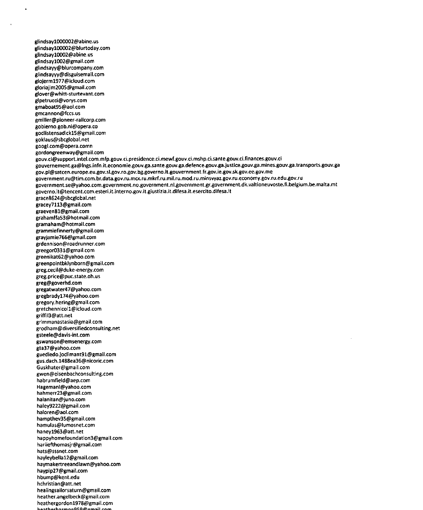glindsayl000002@abine.us glindsayl00002@blurtoday.com glindsayl0002@abine.us glindsayl002@gmail.com giindsayy@biurcompany.com glindsayyy@disguisemaii.com glojerml977@icioud.com gioriajim2005@gmaii.com giover@whitt-sturtevant.com glpetrucci@vorys.com gmaboat95@aoi.com gmcannon@fccs.us gmilier@pioneer-raiicorp.com gobierno.gob.ni@opera.co godiistensadickl5@gmaii,com goklaus@sbcgiobal.net googl.com@opera.comn gordongreenway@gmaii.com gouv.ci@support.intei.com.mfp.gouv.ci.presidence.ci.mewf.gouv.ci.mshp.ci.sante.gouv.ci.finances.gouv.ci gouvernement.ga@ings.infn.it.economie.gouv.ga.sante.gouv.ga.defence.gouv.ga.justice.gouv.ga.mines.gouv.ga.transports,gouv.ga gov.pi@satcen.europe.eu.gov.sl.gov.ro.gov.bg.governo.it.gouvernment.fr.gov.ie.gov.sk.gov.ee.gov.me government.ru@tim.com.br.data.gov.ru.mcx.ru.mkrf.ru.mii.ru.mod.ru.minsvyaz.gov.ru.economy.gov.ru.edu.gov.ru government,se@vahoo,com.government.no.government.nl,government,gr,government.dk.vaitioneuvoste.fi.belgium.be.malta.mt governo.it@tencent.com.esteri,it.interno.gov.it.giustizla.it.difesa.it.esercito.difesa.it grace8624@sbcglobai.net gracey7113@gmaii.com graeven81@gmaii.com grahamffa53@hotmail.com gramaham@hotmail.com grammiefinnerty@gmaii.com grayjamie766@gmail.com grdennison@roadrunner.com greegor0331@gmaii.com greenikat62@yahoo.com greenpointbklynborn@gmail.com greg.cecii@duke-energy.com greg.price@puc.state.oh.us greg@goverhd.com gregatwater47@yahoo.com gregbradyl74@yahoo.com gregory.hering@gmail.com gretchennicoll@ic1oud.com griffil3@att.net grimmanastasia@gmail.com grodham@diversifiedconsulting.net gsteele@davis-int.com gswanson@emsenergy.com gta37@yahoo.com guediedo.joclimant91@gmail.com gu5.dach.1488ea36@nicoric.com Gu5khater@gmail.com gwen@eisenbachconsulting.com habrumfield@aep.com Hagemanl@vahoo.com hahmerr23@gmai1.com halanitan@juno.com haley9222@gmail.com haloren@aol.com hampthev35@gmail.com hamula5@lum0snet.com haneyl963@att.net happyhomefoundation3@gmail.com harliefthomasjr@gmail.com hats@sssnet.com haylevbellal2@gmail.com haymakertreeandlawn@yahoo.com haypip27@gmail.com hbump@kent.edu hchristian@att.net healingsailorsaturn@gmail.com heather.angelbeck@gmail.com heathergordonl978@gmail.com

**heafhorharmnnOQQfflijmail <-nm**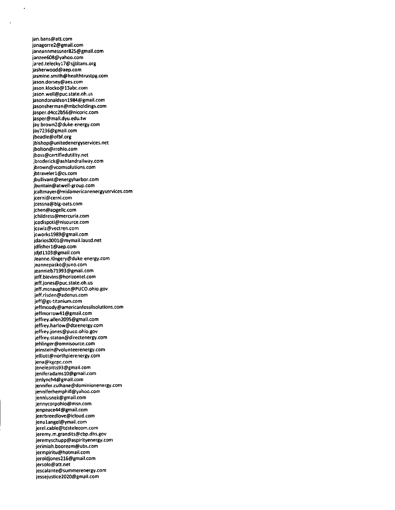jan.ban5@att.com janagorre2@gmail.com janeannmessner825@gmail.com janzee608@Yahoo.com jared.teleckyl7@sjjtitans.org jasherwood@aep.com jasmine.smith@healthtrustpg.com jason.dorsey@aes.com jason.klocko@133bc.com jason.well@puc.state.oh.us jasondonaldsonl984@gmail.com jasonsherman@mbchotdings.com jasper.d4cc2bS6@ntcoric.com jasper@mail.dyu.edu.tw jay.brown2@duke-energy.com jay7236@gmail.com jbeadle@ofbf.org jbishop@unitedenergYservices.net jbolton@rrohio.com jboss@certifiedutilitY.net jbroderick@ashlandrailway.com jbrown@vcomsolutions.com jbtravelerl@cs.com jbullivant@energyharbor.com jbuntain@atwell-group.com jcaltmayer@midamericanenergyservices.com jcerni@cerni.com jcessna@big-oats.com jchen@apgellc.com ichildress@mercuria.com jcodispoti@nisource.com jcswiz@vectren.com jcworksl989@gmail.com jdarios0001@mymail.lausd.net jdfisherl@aep.com jdjdll03@gmail.com Jeanne.Kingery@duke-energy.com jeannepasko@juno.com jeannieb71993@gmail.com jeff.blevins@horizontel.com jeff.jones@puc.state.oh.us jeff.mcnaughton@PUCO.ohio.gov jeff.risden@adenus.com jeff@gs-titanium.com jeffmoody@americanfossilsolutions.com jeffmorrow41@gmail.com jeffrey.allen2095@gmail.com jeffrey.harlow@dteenergy.com jeffrey.jones@puco.ohio.gov jeffrey.staton@directenergy.com jehlinger@omnisource.com jeinstein@volunteerenergy.com jelliott@northpierenergy.com jena@kgcpc.com jenelepitts93@gmail.com jeniferadamsl0@gmai1.com jenlYnch4@gmail.com jennifer.culhane@dominionenergy.com jenniferhemphill@yahoo.com jennlusnek@gmail.com jennycorpohio@msn.com jenpeace44@gmail.com jenrbreedlove@icloud.com jenulangel@ymail.com jerel.cable@tdstelecom.com jeremy.m.grandits@cbp.dhs.gov jeremyschupp@aspirityenergy.com jerimiah.booream@ubs.com jermpiritu@hotmail.com jeroldjones216@gmail.com jersolo@att.net jescalante@summerenergy.com jessejustice2O2O@gmail.com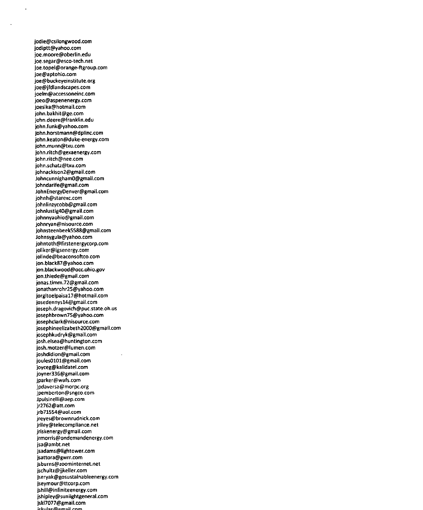jodie@csilongwood.com Jodiptt@vahoo.com joe.moore@oberlin.edu joe.segar@esco-tech.net Joe.topel@orange-ftgroup.com joe@aptohio.com joe@buckeyeinstitute.org joe@jfdlandscapes.com joelm@accessoneinc.com joeo@aspenenergv.com joesika@hotmail.com john.bakhit@ge.com john.deere@franklin.edu john.funk@Yahoo.com john.horstmann@dplinc.com john.keaton@duke-energv.com john.munn@txu.com john.ritch@gexaenergv.com john.ritch@nee.com john.schatz@txu.com johnackison2@gmail.com JohncunnighamO@gmail.com johndarife@gmail.com JohnEnergYDenver@gmail.com johnh@starexc.com johnlin2ycobb@gmail.com johnlustig40@gmail.com johnnvaohio@gmail.com johnryan@nisource.com johnsteenbeek5588@gmail.com Johnsvgula@Yahoo.com johntoth@firstenergvcorp.com joliker@igsenergY.com jolinde@beaconsoftco.com jon.black87@vahoo.com jon.blackwood@occ.ohio.gov j0n.thiede@gm3il.com jona5.timm.72@gmail.com jonathanrohr25@vahoo.com jorgitoelpaisal7@hotmail.com josedennysl4@gmaii.com joseph.dragovich@puc.state.oh.us josephbrown75@yahoo.com josephctark@nisource.com josephineeli2abeth2000@gmail.com josephkudrYk@gmail.com josh.elsea@huntington.com josh.mot2er@lumen.com joshdidion@gmail.com joules0101@gmail.com jovceg@kalidatel.com jovner336@gmail.com jparker@wafs.com jpdaver5a@m0rpc.org jpemberton@sngco.com Jpulsinelli@aep.com jr2762@att.com jrb71554@aol.com jreves@brownrudnick.com jrilev@telecompliance.net jriskenergv@gmail.com jrmorris@ondemandenergy.com jsa@ambt.net jsadams@lightower.com jsattora@gwrr.com j5burns@z00minternet.net jschultz@jjkeller.com jseryak@gosustainableenergv.com jseymour@ttcorp.com jshiil@infiniteenergy.com jshiplev@suntightgeneral.com jskl7077@gmail.com kulac@omail con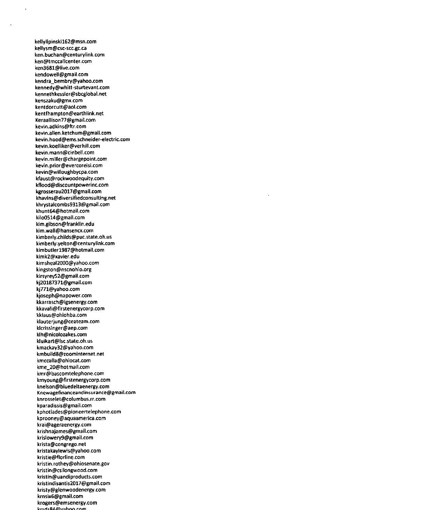ketlylipinskil62@msn.com kellysm@csc-scc.gc.ca ken.buchan@centurylink.com ken@tmccallcenter.com ken3681@live.com kendowell@gmail.com kendra\_bembry@yahoo.com kennedy@whitt-sturtevant.com kennethkessler@sbcgtobal.net kenszaku@gmx.com kentdorcutt@aol.com kentfhampton@earthlink.net Keraallison77@gmait.com kevin.adkins@ftr.com kevin.allen.ketchum@gmail.com kevin.hood@ems.schneider-electric.com kevin.koelliker@verhill.com kevin.mann@cinbel1.com kevin.miller@chargepoint.com kevin.prior@evercoreisi.com kevin@wiltoughbycpa.com kfaust@rockwoodequity.com kfiood@discountpowerinc.com kgrosserau2017@gmail.com khavins@diversifiedconsulting.net khrystalcombs9313@gmail.com khunt64@hotmail.com kilo0514@gmail.com kim.gibson@franklin.edu kim.wall@hansencx.com kimberly.childs@puc.state.oh.us kimberly.yelton@centurylink.com kimbutlerl987@hotmail.com kimk2@xavier.edu kimsheal2000@yahoo.com kingston@nscnohio.org kirsyrey52@gmail.com kj20187371@gmail.com kj771@yahoo.com kjoseph@napower.com kkarrasch@igsenergy.com kkavali@firstenergycorp.com kklaus@ohiohba.com klauterjung@ceateam.com klcrissinger@aep.com klh@nicolozakes.com kluikart@l5C.state.oh.us kmackay32@yahoo.com kmbuild8@zoominternet.net kmccalla@ohiocat.com kme\_20@hotmail.com kmr@bascomtelephone.com kmyoung@rirstenergvcorp.com knelson@bluedeltaenergy.com Knewagerinanceandinsurance@gmail.com knrosselet@columbus.rr.com kparadissis@gmail.com kphotiades@pioneertelephone.com kprooney@aquaamerica.com krai@ageraenergy.com krishnajames@gmail.com krislowerY9@gmail.com krista@congrego.net kristakaylewi5@yahoo.com kristie@florline.com kristin.rothey@ohiosenate.gov kristin@csilongwood.com kristin@uandiproducts.com kristindisantis2017@gmail.com kristy@glenwoodenergy.com krnsix6@gmail.com krogers@emsenergy.com rede94@vahoo rnm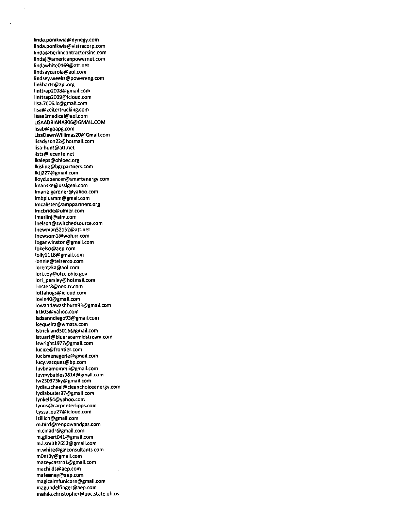linda.ponikwia@dynegy.com linda.ponikwia@vistracorp.com linda@berlincontractorsinc.com lindaj@americanpowernet.com lindawhite0169@att.net iindsaycarola@aol.com iindsev.weeks@powereng.com linkhartc@3pi.org linttrap2008@gmail.com Iinttrap2009@lcloud.com iisa.7006.lc@gmail.com iisa@zeitertrucking.com lisaalmedical@aoi.com LISAADRiANA9O6@GMAIL.COM lisab@goapg.com Lis3DawnWillimas20@Gmaii.com iisadvson22@hotmail.com lisa-hunt@att.net lists@lucente.net lkaleps@ohioec.org ikisiing@bgcpartners.com iktj227@gmail.com ltovd.spencer@smartenergv.com lmanske@ussignat.com lmarie.gardner@yahoo.com lmbplusmm@gmail.com tmcalister@amppartners.org lmcbride@ulmer.com lmerlinj@aim.com lnelson@switchedsource.com tnewman52152@att.net tnew5oml@woh.rr.com toganwinston@gmaii.com lokelso@aep.com Ioltylll8@gmail.com lonnie@tetserco.com lorentzka@aol.com lori.cov@ofcc.ohio.gov lori\_parsley@hotmait.com l-oster8@neo.rr.com lottahogs@ictoud.com 1ovin40@gmail.com Iowandawashburn93@gmait.com Irtk03@yahoo.com tsdsanndiego93@gmail.com tsequeira@wmata.com tstrickland3016@gmail.com l5tuart@blueracermidstream.com lswrightl977@gmail.com lucice@frontier.com Iucismenagerie@gm3it.com lucy.vazquez@bp.com luvbnamommii@gmail.com Iuvmvbabies9814@gmail.com lw230373ky@gmail.com lvdia.5cheel@cteanchoiceenergy.com iydiabutter37@gmait.com Ivnket54@yahoo.com tyons@carpenterlipps.com LyssaLou27@icloud.com tzittich@gmail.com m.bird@renpowandgas.com m.cinadr@gmaii.com m.giibert041@gmait.com m.i.smith2652@gmail.com m.white@gaiconsultants.com m0nt3y@gmail.com maceyca5trol@gmait.com machiids@aep.com mafeenev@aep.com magicaimfunicorn@gmait.com magundelfinger@aep.com mahila.christopher@puc.state.oh.us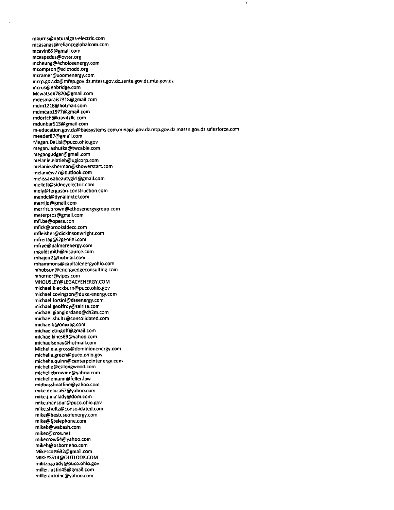mburns@naturalgas-electric.com mcasanas@relianceglobalcom.com mcavin65@gmail.com mcespedes@ovssr.org mcheung@4choiceenergv.com mcompton@sciotodd.org mcramer@xoomenergy.com mcrp.gov.dz@mfep.gov.dz.mtess.gov.dz.sante.gov.dz.mta.gov.dz mcrus@enbridge.com Mcwatson7820@gmail.com mdesmarais7318@gmail.com mdml218@hotmailcom mdmeapl977@gmail.com mdortch@kravitzllc.com mdunbar513@gmail.com m-education.gov.dz@baesystems.com.minagri.gov.dz.mtp.gov.dz.massn.gov.dz.salesforce.com meeder87@gmail.com Megan.DeLisi@puco.ohio.gov megan.lashutka@twcable.com megangudger@gmail.com melanie.elatieh@ugicorp.com melanie.sherman@showerstart.com melaniew77@outlook.com melissaisabeautygirl@gmail.com mellett@sidneyelectric.com mely@ferguson-construction.com mendel@dynalinktel.com merrijo@gmail.com merritt.brown@ethosenergygroup.com meterpros@gmail.com mfi.be@opera.con mfick@brooksldecc.com mfleisher@dickinsonwright.com mfreitag@i2gemini.com mfrve@palmerenergy.com mgoldsmith@nisource.com mhajeir2@hotmail.com mhammons@capitalenergyohio.com mhobson@energyedgeconsulting.com mhornor@yipes.com MHOUSLEY@LEGACYENERGY.COM michael.blackburn@puco.ohio.gov michael.covington@duke-energy.com michael.fortini@dteenergv.com michael.geoffrov@telrite.com michael.giangiordano@ch2m.com michael.5hultz@consolidated.com michaelb@onyxpg.com michaeletingoff@gmail.com michaelkines69@yahoo.com michaelsenay@hotmail.com Michelle.a.gross@dominionenergy.com michelle.green@puco.ohio.gov michelle.quinn@centerpointenergy.com michelle@csilongwood.com michellebrownie@yahoo.com michellemann@feller.law midbassboatline@yahoo.com mike.deluca67@yahoo.com mike.J.mallady@dom.com mike.mansour@puco.ohio.gov mike.shultz@consolidated.com mike@bestuseofenergy.com mike@fjtelephone.com mikeb@wabash.com mikec@cros.net mikecrow54@yahoo.com mikeh@osborneho.com Mikescott632@gmail.com M1KEYSS14@OUTLOOK.COM militza.grady@puco.ohio.gov miller.justin45@gmail.com millerautoinc@yahoo.com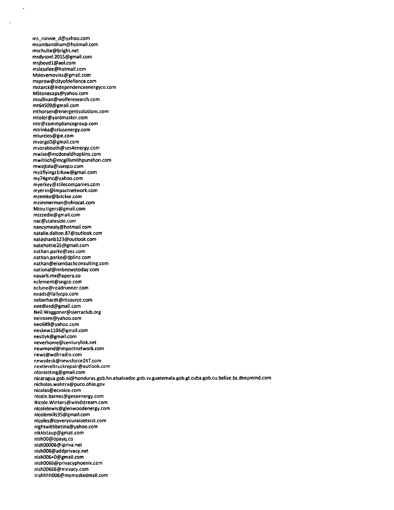ms\_ronnie\_d@yahoo.com msambandham@hotmail.com mschulte@brtght.net msdysonl.201S@gmail.com msjboydl@aoi.com mslesalee@hotmail.com Mslovemovies@gmai1.com msprow@cityofderiance.com mstarck@independenceenergyco.com MStonecaps@Yahoo.com msullivan@wolferesearch.com mt64509@gmail.com mthorsen@energentsolutions.com mtoler@yardmaster.com mtr@commpliancegroup.com mtrinka@criusenergY.com mturcios@gie.com mvargoO@gmaii.com mvorabouth@ses4energy.com mwise@mcdonaldhopkins.com mwittich@mcgillsmithpunshon.com mwojtala@sseqco.com mylflYingzlrkaw@gmail.com my74gmc@Yahoo.com myerkey@stilecompanies.com myersn@impactnetwork.com mzemke@bricker.com mzimmerman@ohtocat.com Mzzu.tigers@gmail.com mzzzedie@gmail.com nac@stateside.com nancYmealY@hotmai1.com nat8lie.dalton.87@outlook.com natashanbl23@outlook.com natehottie25@gmail.com nathan.parke@aes.com nathan.parke@dplinc.com nathan@eisenbachconsulting.com national@nnbnewstodaY.com naYarit.mx@opera.co nclement@sngco.com nclune@roadrunner.com neads@la1lYCpa.com neberhardt@ni5ource.com needlesd@gmai1.com Neil.Waggoner@sierraclub.org ne1rozee@Yahoo.com neo689@Yahoo.com ne5kewllO6@gmail.com nestlyk@gmail.com neverhome@centurylink.net newmand@impactnetwork.com news@wdlrradio.com new5desk@newsforce247.com nextleveltruckrepair@outlook.com nforzetting@gmail.com nicaragua.gob.ni@honduras.gob.hn.elsalvador.gob.sv.guatemala.gob.gt.cuba.gob.cu.belize.bz.deepmind.com nicholas.walstra@puco.ohio.gov nicolas@ecvoice.com nico1e.barnes@gexaenergy.com Nicole.Winters@windstream.com nicolelewis@glenwoodenergy.com nicolemills35@gmail.com nicoles@coverYOurassetscst.com nightwithbetina@Yahoo.com nikkistaup@gmai1.com nishOO@opaYq.co nish00006@ipriva.net nish006@addprivacy.net nish006+0@gmail.com nish0066@privacYphoenix.com ni5hOO666@mevacy.com nishhhh006@mymaskedmail.com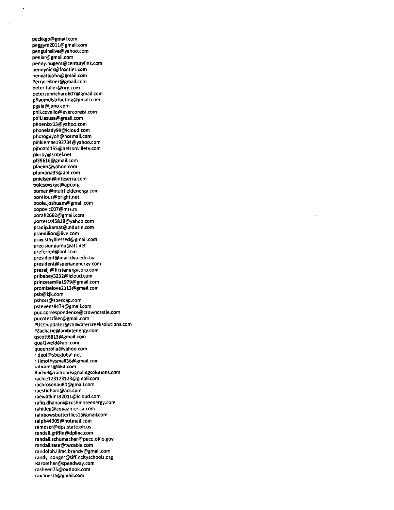peckkgp@gmail.com peggym2011@gmail.com penguinslive@yahoo.com penixr@gmail.com penny.nugent@centurYlink.com pennynick@frontier.com penyatajohn@gm3il.com PerryLeitner@gmail.com peter.fuller@nrg.com petersonrichard607@gmail.com pflaumdistributing@gmail.com pgaia@juno.com phil.covello@evercoreisi.com phil.lasusa@gmail.com phoenixxl3@yahoo.com phonelady99@icloud.com photoguyoh@hotmai1.com pinkiemael92734@yahoo.com pjboat4155@neisonviiletv.com pkirby@scitel.net pi35616@gmail.com piheim@yahoo.com plumaria33@aol.com pnielsen@inteserra.com potesovskyc@api.org poman@muirfieldenergy.com pontlous@bright.net poole.joshuam@gmail.com popovic007@mts.rs porah2662@gmail.com portercs45818@yahoo.com pradip.kamat@indusin.com prandilion@live.com prayistayblessed@gmail.com precisionpump@att.net preferred@aol.com president@mail.dyu.edu.tw president@sperianenergy.com prezeljl@firstenergycorp.com pribabey3232@icioud.com prince5smiial979@gmail.com promiselove2113@gmaii.com P5b@kjk.com pshorr@speccap.com pstevens8479@gmaii.com puc.correspondence@crowncastle.com pucotestfiler@gmail.com PUCOupdates@stiliwatercreeksolutions.com PZacharie@ambitenergy.com qscott6813@gmaii.com quailweld@aot.com queenzolia@yahoo.com r.deol@sbcglobal.net r.timothysmai136@gmail.com rabrams@bkd.com Rachel@rai1roadsignalingsoiutions.com rachiel23123123@gmaii.com rachro5enau80@gmail.com raestidham@aol.com raewatkins32011@icioud.com rafiq.dhanani@ru5hmoreenergy.com rahideg@aquaamerica.com rainbowsbutterfliesl@gmail.com ralph44905@hotmail.com ramoser@dps.state.oh.us randall.griffin@dplinc.com randall.schumacher@puco.ohio.gov randall.tate@twcable.com randolph.lilmc.brandy@gmai1.com randy\_conger@tiffincityschools.org Raroether@speedway.com rasheen75@outlook.com raulinesta@gmail.com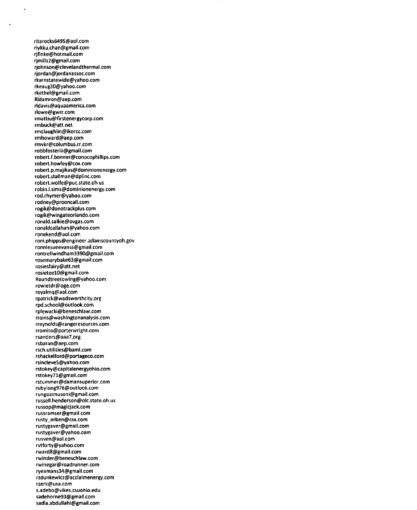ritarocks6495@ao1.com riykku.chan@gmail.com rjfinke@hotmail.com rjmills2@gmaii.com rjohnson@clevelandthermal.com rjordan@jordanassoc.com rkarnstatewide@yahoo.com rkeaug30@yahoo.com rkethel@gmail.com Rldamron@aep.com rldavis@aquaamerica.com rlowe@gwrr.com rmattiu@firstenergycorp.com rmbuck@att.net rmclaughlin@ikorcc.com rmhoward@aep.com rmvkr@columbus.rr.com robbfosteriii@gmail.com robert.f.bonner@conocophillips.com robert.howieY@cox.com robert.p.majikas@dominionenergy.com robert.stallman@dplinc.com robert.wolfe@puc.state.oh.us robin.l.sims@dominionenergy.com rod.rhYmer@Yahoo.com rodneY@prooncall.com rogik@donotrackplu5.com rogik@wingateorlando.com ronald.salkie@ovgas.com ronaldcallahan@Yahoo.com ronekend@aol.com roni.phipps@engineer.adamscountyoh.gov ronnie5ueevan55@gmail.com rontreilwindham3390@gmaii.com rosemarYbake63@gmaii.com rosiesfairy@att.net rosieteelO@gmaii.com Roundtreetowing@yahoo.com rowletdr@oge.com royaimq@aol.com rpatrick@wadsworthcity.org rpd.school@outiook.com rptewacki@beneschiaw.com rrains@washingtonanatysis.com rreynolds@rangeresources.com rromito@porterwright.com r5anders@aaa7.org rsbaran@aep.com rsch.utitilies@bamt.com rshacketford@portageco.com rsincteve5@Yahoo.com rstokey@capitalenergyohio.com rstokey71@gmait.com rstummer@damansuperior.com rubylong976@outtook.com rungozimusoni@gmail.com russeii.henderson@olc.state.oh.us russop@magicjack.com russramser@gmait.com rusty\_orben@csx.com rustygaver@gmail.com rustygaver@yahoo.com rusven@aol.com rvtforty@yahoo.com rward8@gmait.com rwinder@benesch1aw.com rwinegar@roadrunner.com rYeamans34@gmait.com rzdunkewicz@acclalmenergy.com rzerk@usa.com s.adebo@vikes.csuohio.edu sadehorne93@gmail.com sadia.abdultahi@gmail.com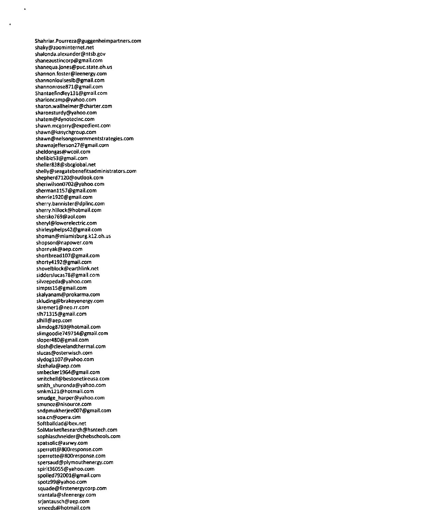Shahriar.Pourreza@guggenheimpartners.com shaky@zoominternet.net shal0nda.alex3nder@ntsb.gov shaneaustincorp@gmail.com shanequa.iones@puc.state.oh.us shannon.foster@leenergv.com shannonlouiseslb@gmail.com shannonrose871@gmail.com Shantaefindievl31@gmail.com sharioncamp@vahoo.com sharon.wailheimer@charter.com sharonsturdy@yahoo.com shatem@dynotecinc.com shawn.mcgorrv@expedient.com shawn@kasychgroup.com shawn@neisongovernmentstrategies.com shawnajefferson27@gmaii.com sheldongas@wcoii.com shellbiz53@gmail.com sheller838@sbcglobal.net shellv@seagatebenefltsadministrators.com shepherd7120@outlook.com sheriwilson0702@vahoo.com shermanll57@gmail.com sherriel920@gmail.com sherry.bannister@dpllnc.com sherry.hillock@hotmail.com shersko769@aol.com sheryl@lowerelectric.com shirleyphelps42@gmail.com shoman@miamisburg.kl2.oh.us shopson@napower.com shornvak@aep.com shortbreadlO7@gmail.com shortv4192@gmail.com shovelblock@earthlink.net sidderslucas78@gmall.com silvzepeda@yahoo.com simpssl5@gmail.com skalyanam@prokarma.com skluding@brakeyenergv.com skremerl@neo.rr.com slh71315@gmail.com 5lhill@aep.com 5limdog8769@hotmail.com slimgoodie749714@gmail.com sloper480@gmail.com slosh@clevelandthermal.com slucas@05terwisch.com slvdogll07@yahoo.com slzehala@aep.com smbeckerl964@gmail.com smltchell@bestonetireusa.com smith\_shuronda@vahoo.com smkml21@hotmail.com smudge\_harper@yahoo.com smunoz@nisource.com 5ndpmukherjee007@gmaii.com soa.cn@opera.cim Softbal1dad@bex.net SolMarketResearch@hsntech.com sophiaschneider@chebschools.com spatsolic@asrwv.com sperrott@800response.com sperrotte@800response.com sper5aud@plvm0uthenergv.com spirit36055@vahoo.com spoiled792001@gmail.com spotz99@vahoo.com 5quade@firstenergvc0rp.com srantala@sfeenergv.com srjantausch@aep.com srneeds@hotmail.com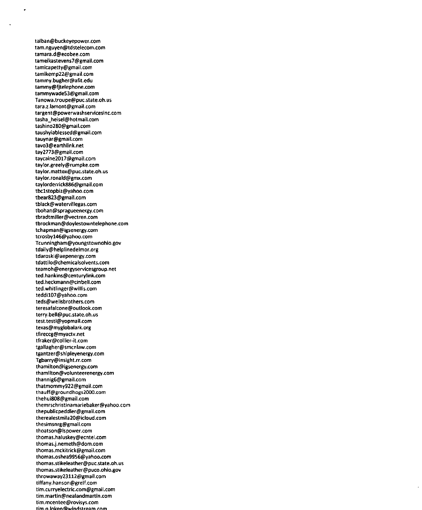talban@buckeyepower.com tam.nguyen@tdstelecom.com tamara.d@ecobee.com tameika5tevens7@gmail.com tamicapetty@gmail.com tamikemp22@gmail.com tammv.bugher@aftt.edu tammY@fjtelephone.com tammYwade53@gmail.com Tanowa.troupe@puc.state.oh.us tara.z.lamont@gmail.com targent@powerwa5h5ervicesinc.com tasha\_heisel@hotmail.com tashino280@gmail.com taushyiablessed@gmail.com tauynar@gmail.com tavo3@earthlink.net tay2773@gmail.com taycaine2O17@gmail.com taylor.greely@rumpke.com taylor.mattox@puc.state.oh.us taylor.ronald@gmx.com taylorderrick886@gmail.com tbclstopbiz@yahoo.com tbear823@gmail.com tblack@watervillegas.com tbohan@spragueenergy.com tbradtmiller@vectren.com tbrockman@doylestowntelephone.com tchapman@igsenergy.com tcrosbyl46@yahoo.com Tcunningham@youngstownohio.gov tdaily@helplinedelmor.org tdaroski@aepenergY.com tdattilo@chemicalsolvents.com teamoh@energyservicesgroup.net ted.hankins@centurYlink.com ted.heckmann@cinbell.com ted.whitlinger@willis.com teddil07@yahoo.com teds@wellsbrothers.com teresafalcone@outlook.com terrY.bell@puc.state.oh.us test.te5tl@y0pmail.com texas@myglobalark.org tfireccg@myactv.net tfraker@collier-it.com tgallagher@smcnlaw.com tgantzer@5hipleyenergy.com Tgbarry@insight.rr.com thamilton@igsenergy.com thamilton@volunteerenergy.com thannig6@gmail.com thatmommy922@gmail.com thauff@groundhogs2000.com thehui808@gmail.com themrschristinamariebaker@yahoo.com thepubllcpeddler@gmail.com therealestmila20@icloud.com thesimsnrg@gmail.com thoat5on@lspower.com thomas.haiuskey@ecntel.com thomas.J.nemeth@dom.com thomas.mckitrick@gmail.com thomas.o5hea9956@Yahoo.com thomas.stikeleather@puc.state.oh.us thomas.stikeleather@puco.ohio.gov throwaway23112@gmail.com tiffany.hanson@greif.com tim.curryelectric.com@gmail.com tim.martin@nealandmartin.com tim.mcentee@rovisys.com tim.n.loken@windstream.co